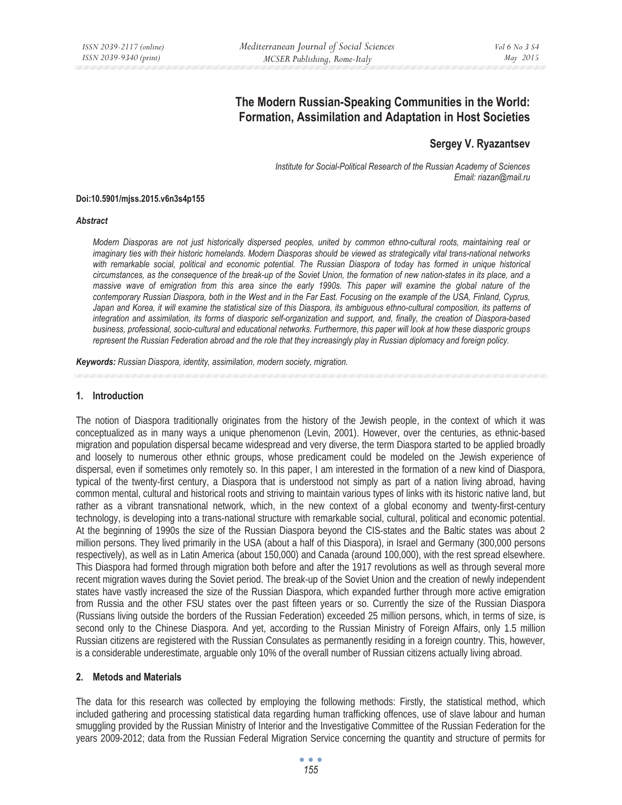# **The Modern Russian-Speaking Communities in the World: Formation, Assimilation and Adaptation in Host Societies**

## **Sergey V. Ryazantsev**

*Institute for Social-Political Research of the Russian Academy of Sciences Email: riazan@mail.ru* 

#### **Doi:10.5901/mjss.2015.v6n3s4p155**

#### *Abstract*

*Modern Diasporas are not just historically dispersed peoples, united by common ethno-cultural roots, maintaining real or imaginary ties with their historic homelands. Modern Diasporas should be viewed as strategically vital trans-national networks*  with remarkable social, political and economic potential. The Russian Diaspora of today has formed in unique historical *circumstances, as the consequence of the break-up of the Soviet Union, the formation of new nation-states in its place, and a massive wave of emigration from this area since the early 1990s. This paper will examine the global nature of the contemporary Russian Diaspora, both in the West and in the Far East. Focusing on the example of the USA, Finland, Cyprus,*  Japan and Korea, it will examine the statistical size of this Diaspora, its ambiguous ethno-cultural composition, its patterns of *integration and assimilation, its forms of diasporic self-organization and support, and, finally, the creation of Diaspora-based business, professional, socio-cultural and educational networks. Furthermore, this paper will look at how these diasporic groups represent the Russian Federation abroad and the role that they increasingly play in Russian diplomacy and foreign policy.* 

*Keywords: Russian Diaspora, identity, assimilation, modern society, migration.*

#### **1. Introduction**

The notion of Diaspora traditionally originates from the history of the Jewish people, in the context of which it was conceptualized as in many ways a unique phenomenon (Levin, 2001). However, over the centuries, as ethnic-based migration and population dispersal became widespread and very diverse, the term Diaspora started to be applied broadly and loosely to numerous other ethnic groups, whose predicament could be modeled on the Jewish experience of dispersal, even if sometimes only remotely so. In this paper, I am interested in the formation of a new kind of Diaspora, typical of the twenty-first century, a Diaspora that is understood not simply as part of a nation living abroad, having common mental, cultural and historical roots and striving to maintain various types of links with its historic native land, but rather as a vibrant transnational network, which, in the new context of a global economy and twenty-first-century technology, is developing into a trans-national structure with remarkable social, cultural, political and economic potential. At the beginning of 1990s the size of the Russian Diaspora beyond the CIS-states and the Baltic states was about 2 million persons. They lived primarily in the USA (about a half of this Diaspora), in Israel and Germany (300,000 persons respectively), as well as in Latin America (about 150,000) and Canada (around 100,000), with the rest spread elsewhere. This Diaspora had formed through migration both before and after the 1917 revolutions as well as through several more recent migration waves during the Soviet period. The break-up of the Soviet Union and the creation of newly independent states have vastly increased the size of the Russian Diaspora, which expanded further through more active emigration from Russia and the other FSU states over the past fifteen years or so. Currently the size of the Russian Diaspora (Russians living outside the borders of the Russian Federation) exceeded 25 million persons, which, in terms of size, is second only to the Chinese Diaspora. And yet, according to the Russian Ministry of Foreign Affairs, only 1.5 million Russian citizens are registered with the Russian Consulates as permanently residing in a foreign country. This, however, is a considerable underestimate, arguable only 10% of the overall number of Russian citizens actually living abroad.

#### **2. Metods and Materials**

The data for this research was collected by employing the following methods: Firstly, the statistical method, which included gathering and processing statistical data regarding human trafficking offences, use of slave labour and human smuggling provided by the Russian Ministry of Interior and the Investigative Committee of the Russian Federation for the years 2009-2012; data from the Russian Federal Migration Service concerning the quantity and structure of permits for

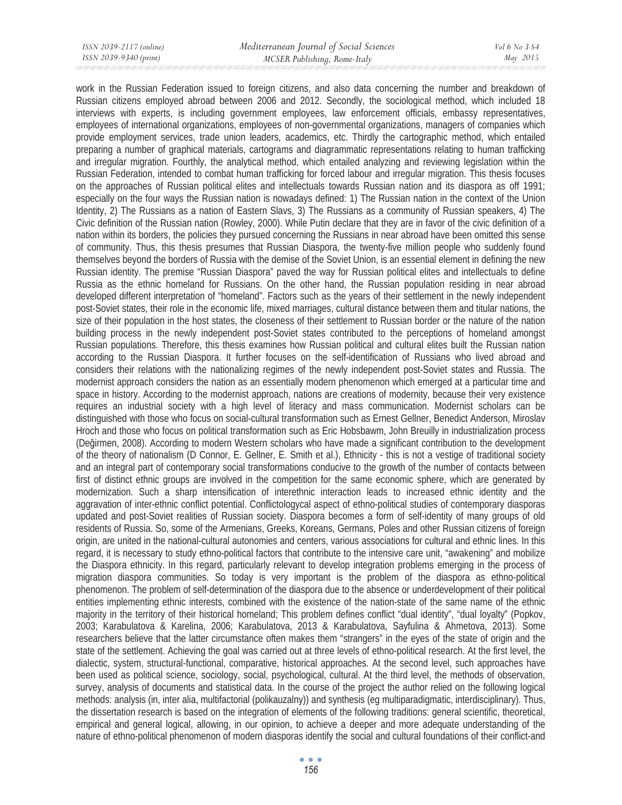work in the Russian Federation issued to foreign citizens, and also data concerning the number and breakdown of Russian citizens employed abroad between 2006 and 2012. Secondly, the sociological method, which included 18 interviews with experts, is including government employees, law enforcement officials, embassy representatives, employees of international organizations, employees of non-governmental organizations, managers of companies which provide employment services, trade union leaders, academics, etc. Thirdly the cartographic method, which entailed preparing a number of graphical materials, cartograms and diagrammatic representations relating to human trafficking and irregular migration. Fourthly, the analytical method, which entailed analyzing and reviewing legislation within the Russian Federation, intended to combat human trafficking for forced labour and irregular migration. This thesis focuses on the approaches of Russian political elites and intellectuals towards Russian nation and its diaspora as off 1991; especially on the four ways the Russian nation is nowadays defined: 1) The Russian nation in the context of the Union Identity, 2) The Russians as a nation of Eastern Slavs, 3) The Russians as a community of Russian speakers, 4) The Civic definition of the Russian nation (Rowley, 2000). While Putin declare that they are in favor of the civic definition of a nation within its borders, the policies they pursued concerning the Russians in near abroad have been omitted this sense of community. Thus, this thesis presumes that Russian Diaspora, the twenty-five million people who suddenly found themselves beyond the borders of Russia with the demise of the Soviet Union, is an essential element in defining the new Russian identity. The premise "Russian Diaspora" paved the way for Russian political elites and intellectuals to define Russia as the ethnic homeland for Russians. On the other hand, the Russian population residing in near abroad developed different interpretation of "homeland". Factors such as the years of their settlement in the newly independent post-Soviet states, their role in the economic life, mixed marriages, cultural distance between them and titular nations, the size of their population in the host states, the closeness of their settlement to Russian border or the nature of the nation building process in the newly independent post-Soviet states contributed to the perceptions of homeland amongst Russian populations. Therefore, this thesis examines how Russian political and cultural elites built the Russian nation according to the Russian Diaspora. It further focuses on the self-identification of Russians who lived abroad and considers their relations with the nationalizing regimes of the newly independent post-Soviet states and Russia. The modernist approach considers the nation as an essentially modern phenomenon which emerged at a particular time and space in history. According to the modernist approach, nations are creations of modernity, because their very existence requires an industrial society with a high level of literacy and mass communication. Modernist scholars can be distinguished with those who focus on social-cultural transformation such as Ernest Gellner, Benedict Anderson, Miroslav Hroch and those who focus on political transformation such as Eric Hobsbawm, John Breuilly in industrialization process (Değirmen, 2008). According to modern Western scholars who have made a significant contribution to the development of the theory of nationalism (D Connor, E. Gellner, E. Smith et al.), Ethnicity - this is not a vestige of traditional society and an integral part of contemporary social transformations conducive to the growth of the number of contacts between first of distinct ethnic groups are involved in the competition for the same economic sphere, which are generated by modernization. Such a sharp intensification of interethnic interaction leads to increased ethnic identity and the aggravation of inter-ethnic conflict potential. Conflictologycal aspect of ethno-political studies of contemporary diasporas updated and post-Soviet realities of Russian society. Diaspora becomes a form of self-identity of many groups of old residents of Russia. So, some of the Armenians, Greeks, Koreans, Germans, Poles and other Russian citizens of foreign origin, are united in the national-cultural autonomies and centers, various associations for cultural and ethnic lines. In this regard, it is necessary to study ethno-political factors that contribute to the intensive care unit, "awakening" and mobilize the Diaspora ethnicity. In this regard, particularly relevant to develop integration problems emerging in the process of migration diaspora communities. So today is very important is the problem of the diaspora as ethno-political phenomenon. The problem of self-determination of the diaspora due to the absence or underdevelopment of their political entities implementing ethnic interests, combined with the existence of the nation-state of the same name of the ethnic majority in the territory of their historical homeland; This problem defines conflict "dual identity", "dual loyalty" (Popkov, 2003; Karabulatova & Karelina, 2006; Karabulatova, 2013 & Karabulatova, Sayfulina & Ahmetova, 2013). Some researchers believe that the latter circumstance often makes them "strangers" in the eyes of the state of origin and the state of the settlement. Achieving the goal was carried out at three levels of ethno-political research. At the first level, the dialectic, system, structural-functional, comparative, historical approaches. At the second level, such approaches have been used as political science, sociology, social, psychological, cultural. At the third level, the methods of observation, survey, analysis of documents and statistical data. In the course of the project the author relied on the following logical methods: analysis (in, inter alia, multifactorial (polikauzalny)) and synthesis (eg multiparadigmatic, interdisciplinary). Thus, the dissertation research is based on the integration of elements of the following traditions: general scientific, theoretical, empirical and general logical, allowing, in our opinion, to achieve a deeper and more adequate understanding of the nature of ethno-political phenomenon of modern diasporas identify the social and cultural foundations of their conflict-and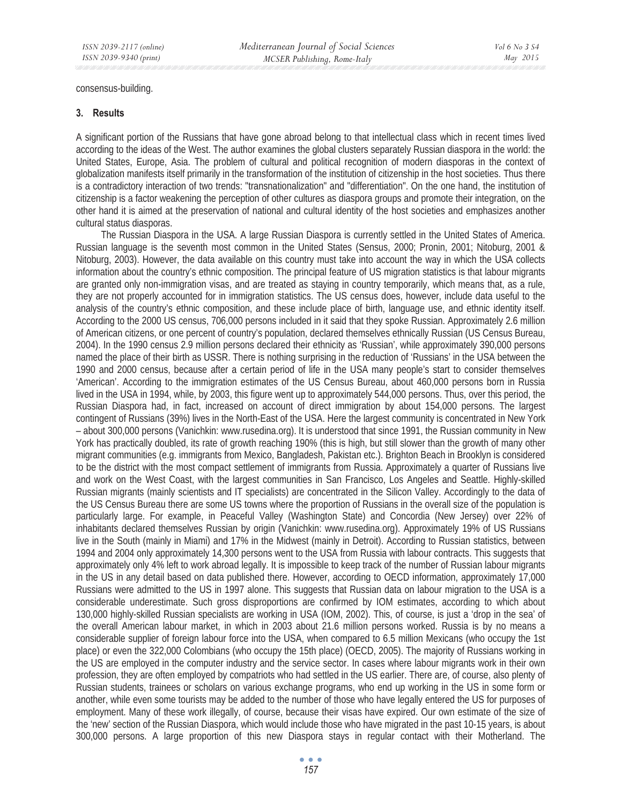consensus-building.

#### **3. Results**

A significant portion of the Russians that have gone abroad belong to that intellectual class which in recent times lived according to the ideas of the West. The author examines the global clusters separately Russian diaspora in the world: the United States, Europe, Asia. The problem of cultural and political recognition of modern diasporas in the context of globalization manifests itself primarily in the transformation of the institution of citizenship in the host societies. Thus there is a contradictory interaction of two trends: "transnationalization" and "differentiation". On the one hand, the institution of citizenship is a factor weakening the perception of other cultures as diaspora groups and promote their integration, on the other hand it is aimed at the preservation of national and cultural identity of the host societies and emphasizes another cultural status diasporas.

The Russian Diaspora in the USA. A large Russian Diaspora is currently settled in the United States of America. Russian language is the seventh most common in the United States (Sensus, 2000; Pronin, 2001; Nitoburg, 2001 & Nitoburg, 2003). However, the data available on this country must take into account the way in which the USA collects information about the country's ethnic composition. The principal feature of US migration statistics is that labour migrants are granted only non-immigration visas, and are treated as staying in country temporarily, which means that, as a rule, they are not properly accounted for in immigration statistics. The US census does, however, include data useful to the analysis of the country's ethnic composition, and these include place of birth, language use, and ethnic identity itself. According to the 2000 US census, 706,000 persons included in it said that they spoke Russian. Approximately 2.6 million of American citizens, or one percent of country's population, declared themselves ethnically Russian (US Census Bureau, 2004). In the 1990 census 2.9 million persons declared their ethnicity as 'Russian', while approximately 390,000 persons named the place of their birth as USSR. There is nothing surprising in the reduction of 'Russians' in the USA between the 1990 and 2000 census, because after a certain period of life in the USA many people's start to consider themselves 'American'. According to the immigration estimates of the US Census Bureau, about 460,000 persons born in Russia lived in the USA in 1994, while, by 2003, this figure went up to approximately 544,000 persons. Thus, over this period, the Russian Diaspora had, in fact, increased on account of direct immigration by about 154,000 persons. The largest contingent of Russians (39%) lives in the North-East of the USA. Here the largest community is concentrated in New York – about 300,000 persons (Vanichkin: www.rusedina.org). It is understood that since 1991, the Russian community in New York has practically doubled, its rate of growth reaching 190% (this is high, but still slower than the growth of many other migrant communities (e.g. immigrants from Mexico, Bangladesh, Pakistan etc.). Brighton Beach in Brooklyn is considered to be the district with the most compact settlement of immigrants from Russia. Approximately a quarter of Russians live and work on the West Coast, with the largest communities in San Francisco, Los Angeles and Seattle. Highly-skilled Russian migrants (mainly scientists and IT specialists) are concentrated in the Silicon Valley. Accordingly to the data of the US Census Bureau there are some US towns where the proportion of Russians in the overall size of the population is particularly large. For example, in Peaceful Valley (Washington State) and Concordia (New Jersey) over 22% of inhabitants declared themselves Russian by origin (Vanichkin: www.rusedina.org). Approximately 19% of US Russians live in the South (mainly in Miami) and 17% in the Midwest (mainly in Detroit). According to Russian statistics, between 1994 and 2004 only approximately 14,300 persons went to the USA from Russia with labour contracts. This suggests that approximately only 4% left to work abroad legally. It is impossible to keep track of the number of Russian labour migrants in the US in any detail based on data published there. However, according to OECD information, approximately 17,000 Russians were admitted to the US in 1997 alone. This suggests that Russian data on labour migration to the USA is a considerable underestimate. Such gross disproportions are confirmed by IOM estimates, according to which about 130,000 highly-skilled Russian specialists are working in USA (IOM, 2002). This, of course, is just a 'drop in the sea' of the overall American labour market, in which in 2003 about 21.6 million persons worked. Russia is by no means a considerable supplier of foreign labour force into the USA, when compared to 6.5 million Mexicans (who occupy the 1st place) or even the 322,000 Colombians (who occupy the 15th place) (OECD, 2005). The majority of Russians working in the US are employed in the computer industry and the service sector. In cases where labour migrants work in their own profession, they are often employed by compatriots who had settled in the US earlier. There are, of course, also plenty of Russian students, trainees or scholars on various exchange programs, who end up working in the US in some form or another, while even some tourists may be added to the number of those who have legally entered the US for purposes of employment. Many of these work illegally, of course, because their visas have expired. Our own estimate of the size of the 'new' section of the Russian Diaspora, which would include those who have migrated in the past 10-15 years, is about 300,000 persons. A large proportion of this new Diaspora stays in regular contact with their Motherland. The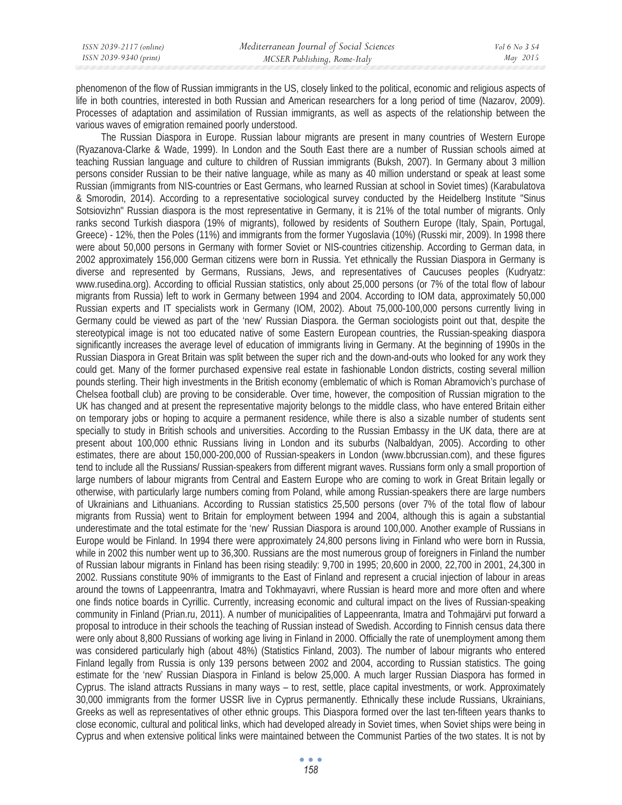| ISSN 2039-2117 (online) | Mediterranean Journal of Social Sciences | Vol 6 No 3 S4 |
|-------------------------|------------------------------------------|---------------|
| ISSN 2039-9340 (print)  | MCSER Publishing, Rome-Italy             | May 2015      |

phenomenon of the flow of Russian immigrants in the US, closely linked to the political, economic and religious aspects of life in both countries, interested in both Russian and American researchers for a long period of time (Nazarov, 2009). Processes of adaptation and assimilation of Russian immigrants, as well as aspects of the relationship between the various waves of emigration remained poorly understood.

The Russian Diaspora in Europe. Russian labour migrants are present in many countries of Western Europe (Ryazanova-Clarke & Wade, 1999). In London and the South East there are a number of Russian schools aimed at teaching Russian language and culture to children of Russian immigrants (Buksh, 2007). In Germany about 3 million persons consider Russian to be their native language, while as many as 40 million understand or speak at least some Russian (immigrants from NIS-countries or East Germans, who learned Russian at school in Soviet times) (Karabulatova & Smorodin, 2014). According to a representative sociological survey conducted by the Heidelberg Institute "Sinus Sotsiovizhn" Russian diaspora is the most representative in Germany, it is 21% of the total number of migrants. Only ranks second Turkish diaspora (19% of migrants), followed by residents of Southern Europe (Italy, Spain, Portugal, Greece) - 12%, then the Poles (11%) and immigrants from the former Yugoslavia (10%) (Russki mir, 2009). In 1998 there were about 50,000 persons in Germany with former Soviet or NIS-countries citizenship. According to German data, in 2002 approximately 156,000 German citizens were born in Russia. Yet ethnically the Russian Diaspora in Germany is diverse and represented by Germans, Russians, Jews, and representatives of Caucuses peoples (Kudryatz: www.rusedina.org). According to official Russian statistics, only about 25,000 persons (or 7% of the total flow of labour migrants from Russia) left to work in Germany between 1994 and 2004. According to IOM data, approximately 50,000 Russian experts and IT specialists work in Germany (IOM, 2002). About 75,000-100,000 persons currently living in Germany could be viewed as part of the 'new' Russian Diaspora. the German sociologists point out that, despite the stereotypical image is not too educated native of some Eastern European countries, the Russian-speaking diaspora significantly increases the average level of education of immigrants living in Germany. At the beginning of 1990s in the Russian Diaspora in Great Britain was split between the super rich and the down-and-outs who looked for any work they could get. Many of the former purchased expensive real estate in fashionable London districts, costing several million pounds sterling. Their high investments in the British economy (emblematic of which is Roman Abramovich's purchase of Chelsea football club) are proving to be considerable. Over time, however, the composition of Russian migration to the UK has changed and at present the representative majority belongs to the middle class, who have entered Britain either on temporary jobs or hoping to acquire a permanent residence, while there is also a sizable number of students sent specially to study in British schools and universities. According to the Russian Embassy in the UK data, there are at present about 100,000 ethnic Russians living in London and its suburbs (Nalbaldyan, 2005). According to other estimates, there are about 150,000-200,000 of Russian-speakers in London (www.bbcrussian.com), and these figures tend to include all the Russians/ Russian-speakers from different migrant waves. Russians form only a small proportion of large numbers of labour migrants from Central and Eastern Europe who are coming to work in Great Britain legally or otherwise, with particularly large numbers coming from Poland, while among Russian-speakers there are large numbers of Ukrainians and Lithuanians. According to Russian statistics 25,500 persons (over 7% of the total flow of labour migrants from Russia) went to Britain for employment between 1994 and 2004, although this is again a substantial underestimate and the total estimate for the 'new' Russian Diaspora is around 100,000. Another example of Russians in Europe would be Finland. In 1994 there were approximately 24,800 persons living in Finland who were born in Russia, while in 2002 this number went up to 36,300. Russians are the most numerous group of foreigners in Finland the number of Russian labour migrants in Finland has been rising steadily: 9,700 in 1995; 20,600 in 2000, 22,700 in 2001, 24,300 in 2002. Russians constitute 90% of immigrants to the East of Finland and represent a crucial injection of labour in areas around the towns of Lappeenrantra, Imatra and Tokhmayavri, where Russian is heard more and more often and where one finds notice boards in Cyrillic. Currently, increasing economic and cultural impact on the lives of Russian-speaking community in Finland (Prian.ru, 2011). A number of municipalities of Lappeenranta, Imatra and Tohmajärvi put forward a proposal to introduce in their schools the teaching of Russian instead of Swedish. According to Finnish census data there were only about 8,800 Russians of working age living in Finland in 2000. Officially the rate of unemployment among them was considered particularly high (about 48%) (Statistics Finland, 2003). The number of labour migrants who entered Finland legally from Russia is only 139 persons between 2002 and 2004, according to Russian statistics. The going estimate for the 'new' Russian Diaspora in Finland is below 25,000. A much larger Russian Diaspora has formed in Cyprus. The island attracts Russians in many ways – to rest, settle, place capital investments, or work. Approximately 30,000 immigrants from the former USSR live in Cyprus permanently. Ethnically these include Russians, Ukrainians, Greeks as well as representatives of other ethnic groups. This Diaspora formed over the last ten-fifteen years thanks to close economic, cultural and political links, which had developed already in Soviet times, when Soviet ships were being in Cyprus and when extensive political links were maintained between the Communist Parties of the two states. It is not by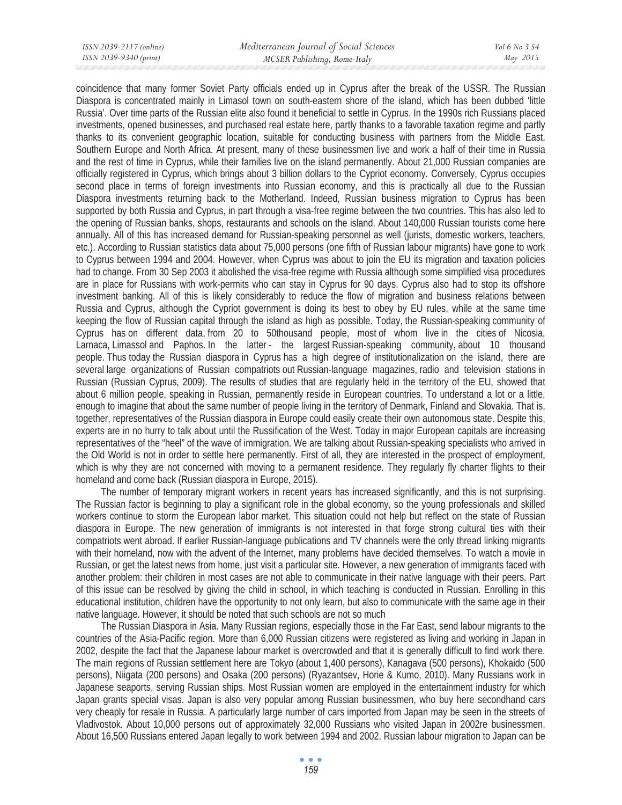coincidence that many former Soviet Party officials ended up in Cyprus after the break of the USSR. The Russian Diaspora is concentrated mainly in Limasol town on south-eastern shore of the island, which has been dubbed 'little Russia'. Over time parts of the Russian elite also found it beneficial to settle in Cyprus. In the 1990s rich Russians placed investments, opened businesses, and purchased real estate here, partly thanks to a favorable taxation regime and partly thanks to its convenient geographic location, suitable for conducting business with partners from the Middle East, Southern Europe and North Africa. At present, many of these businessmen live and work a half of their time in Russia and the rest of time in Cyprus, while their families live on the island permanently. About 21,000 Russian companies are officially registered in Cyprus, which brings about 3 billion dollars to the Cypriot economy. Conversely, Cyprus occupies second place in terms of foreign investments into Russian economy, and this is practically all due to the Russian Diaspora investments returning back to the Motherland. Indeed, Russian business migration to Cyprus has been supported by both Russia and Cyprus, in part through a visa-free regime between the two countries. This has also led to the opening of Russian banks, shops, restaurants and schools on the island. About 140,000 Russian tourists come here annually. All of this has increased demand for Russian-speaking personnel as well (jurists, domestic workers, teachers, etc.). According to Russian statistics data about 75,000 persons (one fifth of Russian labour migrants) have gone to work to Cyprus between 1994 and 2004. However, when Cyprus was about to join the EU its migration and taxation policies had to change. From 30 Sep 2003 it abolished the visa-free regime with Russia although some simplified visa procedures are in place for Russians with work-permits who can stay in Cyprus for 90 days. Cyprus also had to stop its offshore investment banking. All of this is likely considerably to reduce the flow of migration and business relations between Russia and Cyprus, although the Cypriot government is doing its best to obey by EU rules, while at the same time keeping the flow of Russian capital through the island as high as possible. Today, the Russian-speaking community of Cyprus has on different data, from 20 to 50thousand people, most of whom live in the cities of Nicosia, Larnaca, Limassol and Paphos. In the latter - the largest Russian-speaking community, about 10 thousand people. Thus today the Russian diaspora in Cyprus has a high degree of institutionalization on the island, there are several large organizations of Russian compatriots out Russian-language magazines, radio and television stations in Russian (Russian Cyprus, 2009). The results of studies that are regularly held in the territory of the EU, showed that about 6 million people, speaking in Russian, permanently reside in European countries. To understand a lot or a little, enough to imagine that about the same number of people living in the territory of Denmark, Finland and Slovakia. That is, together, representatives of the Russian diaspora in Europe could easily create their own autonomous state. Despite this, experts are in no hurry to talk about until the Russification of the West. Today in major European capitals are increasing representatives of the "heel" of the wave of immigration. We are talking about Russian-speaking specialists who arrived in the Old World is not in order to settle here permanently. First of all, they are interested in the prospect of employment, which is why they are not concerned with moving to a permanent residence. They regularly fly charter flights to their homeland and come back (Russian diaspora in Europe, 2015).

The number of temporary migrant workers in recent years has increased significantly, and this is not surprising. The Russian factor is beginning to play a significant role in the global economy, so the young professionals and skilled workers continue to storm the European labor market. This situation could not help but reflect on the state of Russian diaspora in Europe. The new generation of immigrants is not interested in that forge strong cultural ties with their compatriots went abroad. If earlier Russian-language publications and TV channels were the only thread linking migrants with their homeland, now with the advent of the Internet, many problems have decided themselves. To watch a movie in Russian, or get the latest news from home, just visit a particular site. However, a new generation of immigrants faced with another problem: their children in most cases are not able to communicate in their native language with their peers. Part of this issue can be resolved by giving the child in school, in which teaching is conducted in Russian. Enrolling in this educational institution, children have the opportunity to not only learn, but also to communicate with the same age in their native language. However, it should be noted that such schools are not so much

The Russian Diaspora in Asia. Many Russian regions, especially those in the Far East, send labour migrants to the countries of the Asia-Pacific region. More than 6,000 Russian citizens were registered as living and working in Japan in 2002, despite the fact that the Japanese labour market is overcrowded and that it is generally difficult to find work there. The main regions of Russian settlement here are Tokyo (about 1,400 persons), Kanagava (500 persons), Khokaido (500 persons), Niigata (200 persons) and Osaka (200 persons) (Ryazantsev, Horie & Kumo, 2010). Many Russians work in Japanese seaports, serving Russian ships. Most Russian women are employed in the entertainment industry for which Japan grants special visas. Japan is also very popular among Russian businessmen, who buy here secondhand cars very cheaply for resale in Russia. A particularly large number of cars imported from Japan may be seen in the streets of Vladivostok. About 10,000 persons out of approximately 32,000 Russians who visited Japan in 2002re businessmen. About 16,500 Russians entered Japan legally to work between 1994 and 2002. Russian labour migration to Japan can be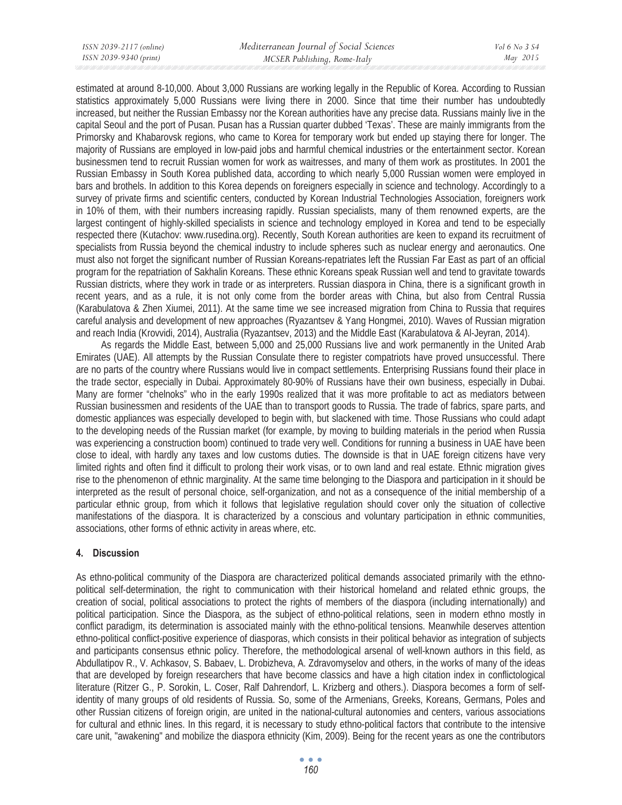estimated at around 8-10,000. About 3,000 Russians are working legally in the Republic of Korea. According to Russian statistics approximately 5,000 Russians were living there in 2000. Since that time their number has undoubtedly increased, but neither the Russian Embassy nor the Korean authorities have any precise data. Russians mainly live in the capital Seoul and the port of Pusan. Pusan has a Russian quarter dubbed 'Texas'. These are mainly immigrants from the Primorsky and Khabarovsk regions, who came to Korea for temporary work but ended up staying there for longer. The majority of Russians are employed in low-paid jobs and harmful chemical industries or the entertainment sector. Korean businessmen tend to recruit Russian women for work as waitresses, and many of them work as prostitutes. In 2001 the Russian Embassy in South Korea published data, according to which nearly 5,000 Russian women were employed in bars and brothels. In addition to this Korea depends on foreigners especially in science and technology. Accordingly to a survey of private firms and scientific centers, conducted by Korean Industrial Technologies Association, foreigners work in 10% of them, with their numbers increasing rapidly. Russian specialists, many of them renowned experts, are the largest contingent of highly-skilled specialists in science and technology employed in Korea and tend to be especially respected there (Kutachov: www.rusedina.org). Recently, South Korean authorities are keen to expand its recruitment of specialists from Russia beyond the chemical industry to include spheres such as nuclear energy and aeronautics. One must also not forget the significant number of Russian Koreans-repatriates left the Russian Far East as part of an official program for the repatriation of Sakhalin Koreans. These ethnic Koreans speak Russian well and tend to gravitate towards Russian districts, where they work in trade or as interpreters. Russian diaspora in China, there is a significant growth in recent years, and as a rule, it is not only come from the border areas with China, but also from Central Russia (Karabulatova & Zhen Xiumei, 2011). At the same time we see increased migration from China to Russia that requires careful analysis and development of new approaches (Ryazantsev & Yang Hongmei, 2010). Waves of Russian migration and reach India (Krovvidi, 2014), Australia (Ryazantsev, 2013) and the Middle East (Karabulatova & Al-Jeyran, 2014).

As regards the Middle East, between 5,000 and 25,000 Russians live and work permanently in the United Arab Emirates (UAE). All attempts by the Russian Consulate there to register compatriots have proved unsuccessful. There are no parts of the country where Russians would live in compact settlements. Enterprising Russians found their place in the trade sector, especially in Dubai. Approximately 80-90% of Russians have their own business, especially in Dubai. Many are former "chelnoks" who in the early 1990s realized that it was more profitable to act as mediators between Russian businessmen and residents of the UAE than to transport goods to Russia. The trade of fabrics, spare parts, and domestic appliances was especially developed to begin with, but slackened with time. Those Russians who could adapt to the developing needs of the Russian market (for example, by moving to building materials in the period when Russia was experiencing a construction boom) continued to trade very well. Conditions for running a business in UAE have been close to ideal, with hardly any taxes and low customs duties. The downside is that in UAE foreign citizens have very limited rights and often find it difficult to prolong their work visas, or to own land and real estate. Ethnic migration gives rise to the phenomenon of ethnic marginality. At the same time belonging to the Diaspora and participation in it should be interpreted as the result of personal choice, self-organization, and not as a consequence of the initial membership of a particular ethnic group, from which it follows that legislative regulation should cover only the situation of collective manifestations of the diaspora. It is characterized by a conscious and voluntary participation in ethnic communities, associations, other forms of ethnic activity in areas where, etc.

## **4. Discussion**

As ethno-political community of the Diaspora are characterized political demands associated primarily with the ethnopolitical self-determination, the right to communication with their historical homeland and related ethnic groups, the creation of social, political associations to protect the rights of members of the diaspora (including internationally) and political participation. Since the Diaspora, as the subject of ethno-political relations, seen in modern ethno mostly in conflict paradigm, its determination is associated mainly with the ethno-political tensions. Meanwhile deserves attention ethno-political conflict-positive experience of diasporas, which consists in their political behavior as integration of subjects and participants consensus ethnic policy. Therefore, the methodological arsenal of well-known authors in this field, as Abdullatipov R., V. Achkasov, S. Babaev, L. Drobizheva, A. Zdravomyselov and others, in the works of many of the ideas that are developed by foreign researchers that have become classics and have a high citation index in conflictological literature (Ritzer G., P. Sorokin, L. Coser, Ralf Dahrendorf, L. Krizberg and others.). Diaspora becomes a form of selfidentity of many groups of old residents of Russia. So, some of the Armenians, Greeks, Koreans, Germans, Poles and other Russian citizens of foreign origin, are united in the national-cultural autonomies and centers, various associations for cultural and ethnic lines. In this regard, it is necessary to study ethno-political factors that contribute to the intensive care unit, "awakening" and mobilize the diaspora ethnicity (Kim, 2009). Being for the recent years as one the contributors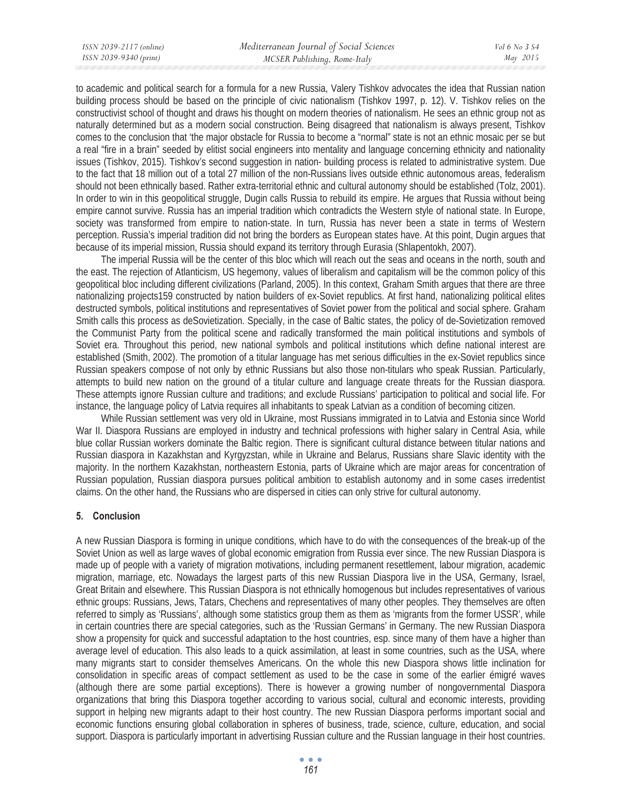to academic and political search for a formula for a new Russia, Valery Tishkov advocates the idea that Russian nation building process should be based on the principle of civic nationalism (Tishkov 1997, p. 12). V. Tishkov relies on the constructivist school of thought and draws his thought on modern theories of nationalism. He sees an ethnic group not as naturally determined but as a modern social construction. Being disagreed that nationalism is always present, Tishkov comes to the conclusion that 'the major obstacle for Russia to become a "normal" state is not an ethnic mosaic per se but a real "fire in a brain" seeded by elitist social engineers into mentality and language concerning ethnicity and nationality issues (Tishkov, 2015). Tishkov's second suggestion in nation- building process is related to administrative system. Due to the fact that 18 million out of a total 27 million of the non-Russians lives outside ethnic autonomous areas, federalism should not been ethnically based. Rather extra-territorial ethnic and cultural autonomy should be established (Tolz, 2001). In order to win in this geopolitical struggle, Dugin calls Russia to rebuild its empire. He argues that Russia without being empire cannot survive. Russia has an imperial tradition which contradicts the Western style of national state. In Europe, society was transformed from empire to nation-state. In turn, Russia has never been a state in terms of Western perception. Russia's imperial tradition did not bring the borders as European states have. At this point, Dugin argues that because of its imperial mission, Russia should expand its territory through Eurasia (Shlapentokh, 2007).

The imperial Russia will be the center of this bloc which will reach out the seas and oceans in the north, south and the east. The rejection of Atlanticism, US hegemony, values of liberalism and capitalism will be the common policy of this geopolitical bloc including different civilizations (Parland, 2005). In this context, Graham Smith argues that there are three nationalizing projects159 constructed by nation builders of ex-Soviet republics. At first hand, nationalizing political elites destructed symbols, political institutions and representatives of Soviet power from the political and social sphere. Graham Smith calls this process as deSovietization. Specially, in the case of Baltic states, the policy of de-Sovietization removed the Communist Party from the political scene and radically transformed the main political institutions and symbols of Soviet era. Throughout this period, new national symbols and political institutions which define national interest are established (Smith, 2002). The promotion of a titular language has met serious difficulties in the ex-Soviet republics since Russian speakers compose of not only by ethnic Russians but also those non-titulars who speak Russian. Particularly, attempts to build new nation on the ground of a titular culture and language create threats for the Russian diaspora. These attempts ignore Russian culture and traditions; and exclude Russians' participation to political and social life. For instance, the language policy of Latvia requires all inhabitants to speak Latvian as a condition of becoming citizen.

While Russian settlement was very old in Ukraine, most Russians immigrated in to Latvia and Estonia since World War II. Diaspora Russians are employed in industry and technical professions with higher salary in Central Asia, while blue collar Russian workers dominate the Baltic region. There is significant cultural distance between titular nations and Russian diaspora in Kazakhstan and Kyrgyzstan, while in Ukraine and Belarus, Russians share Slavic identity with the majority. In the northern Kazakhstan, northeastern Estonia, parts of Ukraine which are major areas for concentration of Russian population, Russian diaspora pursues political ambition to establish autonomy and in some cases irredentist claims. On the other hand, the Russians who are dispersed in cities can only strive for cultural autonomy.

## **5. Conclusion**

A new Russian Diaspora is forming in unique conditions, which have to do with the consequences of the break-up of the Soviet Union as well as large waves of global economic emigration from Russia ever since. The new Russian Diaspora is made up of people with a variety of migration motivations, including permanent resettlement, labour migration, academic migration, marriage, etc. Nowadays the largest parts of this new Russian Diaspora live in the USA, Germany, Israel, Great Britain and elsewhere. This Russian Diaspora is not ethnically homogenous but includes representatives of various ethnic groups: Russians, Jews, Tatars, Chechens and representatives of many other peoples. They themselves are often referred to simply as 'Russians', although some statistics group them as them as 'migrants from the former USSR', while in certain countries there are special categories, such as the 'Russian Germans' in Germany. The new Russian Diaspora show a propensity for quick and successful adaptation to the host countries, esp. since many of them have a higher than average level of education. This also leads to a quick assimilation, at least in some countries, such as the USA, where many migrants start to consider themselves Americans. On the whole this new Diaspora shows little inclination for consolidation in specific areas of compact settlement as used to be the case in some of the earlier émigré waves (although there are some partial exceptions). There is however a growing number of nongovernmental Diaspora organizations that bring this Diaspora together according to various social, cultural and economic interests, providing support in helping new migrants adapt to their host country. The new Russian Diaspora performs important social and economic functions ensuring global collaboration in spheres of business, trade, science, culture, education, and social support. Diaspora is particularly important in advertising Russian culture and the Russian language in their host countries.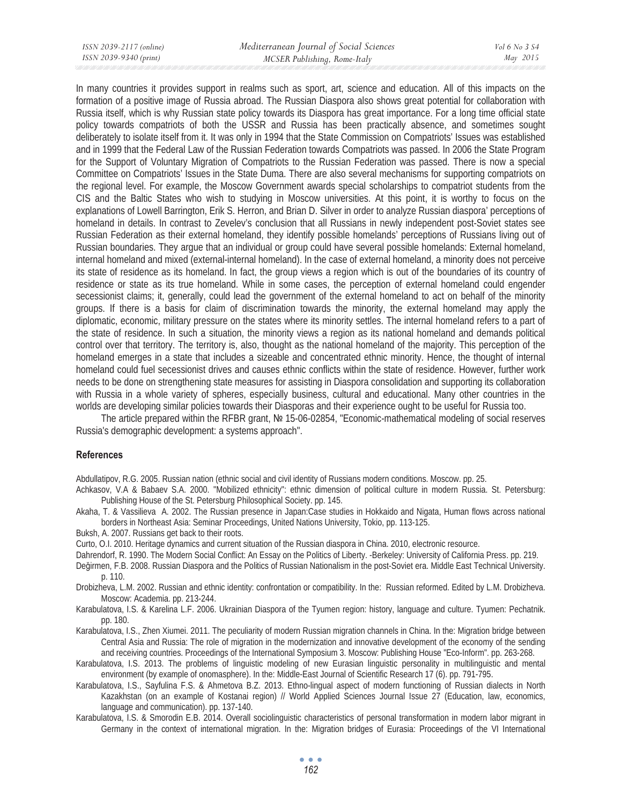In many countries it provides support in realms such as sport, art, science and education. All of this impacts on the formation of a positive image of Russia abroad. The Russian Diaspora also shows great potential for collaboration with Russia itself, which is why Russian state policy towards its Diaspora has great importance. For a long time official state policy towards compatriots of both the USSR and Russia has been practically absence, and sometimes sought deliberately to isolate itself from it. It was only in 1994 that the State Commission on Compatriots' Issues was established and in 1999 that the Federal Law of the Russian Federation towards Compatriots was passed. In 2006 the State Program for the Support of Voluntary Migration of Compatriots to the Russian Federation was passed. There is now a special Committee on Compatriots' Issues in the State Duma. There are also several mechanisms for supporting compatriots on the regional level. For example, the Moscow Government awards special scholarships to compatriot students from the CIS and the Baltic States who wish to studying in Moscow universities. At this point, it is worthy to focus on the explanations of Lowell Barrington, Erik S. Herron, and Brian D. Silver in order to analyze Russian diaspora' perceptions of homeland in details. In contrast to Zevelev's conclusion that all Russians in newly independent post-Soviet states see Russian Federation as their external homeland, they identify possible homelands' perceptions of Russians living out of Russian boundaries. They argue that an individual or group could have several possible homelands: External homeland, internal homeland and mixed (external-internal homeland). In the case of external homeland, a minority does not perceive its state of residence as its homeland. In fact, the group views a region which is out of the boundaries of its country of residence or state as its true homeland. While in some cases, the perception of external homeland could engender secessionist claims; it, generally, could lead the government of the external homeland to act on behalf of the minority groups. If there is a basis for claim of discrimination towards the minority, the external homeland may apply the diplomatic, economic, military pressure on the states where its minority settles. The internal homeland refers to a part of the state of residence. In such a situation, the minority views a region as its national homeland and demands political control over that territory. The territory is, also, thought as the national homeland of the majority. This perception of the homeland emerges in a state that includes a sizeable and concentrated ethnic minority. Hence, the thought of internal homeland could fuel secessionist drives and causes ethnic conflicts within the state of residence. However, further work needs to be done on strengthening state measures for assisting in Diaspora consolidation and supporting its collaboration with Russia in a whole variety of spheres, especially business, cultural and educational. Many other countries in the worlds are developing similar policies towards their Diasporas and their experience ought to be useful for Russia too.

The article prepared within the RFBR grant, № 15-06-02854, "Economic-mathematical modeling of social reserves Russia's demographic development: a systems approach".

#### **References**

Abdullatipov, R.G. 2005. Russian nation (ethnic social and civil identity of Russians modern conditions. Moscow. pp. 25.

Achkasov, V.A & Babaev S.A. 2000. "Mobilized ethnicity": ethnic dimension of political culture in modern Russia. St. Petersburg: Publishing House of the St. Petersburg Philosophical Society. pp. 145.

- Akaha, T. & Vassilieva A. 2002. The Russian presence in Japan:Case studies in Hokkaido and Nigata, Human flows across national borders in Northeast Asia: Seminar Proceedings, United Nations University, Tokio, pp. 113-125.
- Buksh, A. 2007. Russians get back to their roots.
- Curto, O.I. 2010. Heritage dynamics and current situation of the Russian diaspora in China. 2010, electronic resource.
- Dahrendorf, R. 1990. The Modern Social Conflict: An Essay on the Politics of Liberty. -Berkeley: University of California Press. pp. 219.
- Değirmen, F.B. 2008. Russian Diaspora and the Politics of Russian Nationalism in the post-Soviet era. Middle East Technical University. p. 110.
- Drobizheva, L.M. 2002. Russian and ethnic identity: confrontation or compatibility. In the: Russian reformed. Edited by L.M. Drobizheva. Moscow: Academia. pp. 213-244.
- Karabulatova, I.S. & Karelina L.F. 2006. Ukrainian Diaspora of the Tyumen region: history, language and culture. Tyumen: Pechatnik. pp. 180.
- Karabulatova, I.S., Zhen Xiumei. 2011. The peculiarity of modern Russian migration channels in China. In the: Migration bridge between Central Asia and Russia: The role of migration in the modernization and innovative development of the economy of the sending and receiving countries. Proceedings of the International Symposium 3. Moscow: Publishing House "Eco-Inform". pp. 263-268.
- Karabulatova, I.S. 2013. The problems of linguistic modeling of new Eurasian linguistic personality in multilinguistic and mental environment (by example of onomasphere). In the: Middle-East Journal of Scientific Research 17 (6). pp. 791-795.
- Karabulatova, I.S., Sayfulina F.S. & Ahmetova B.Z. 2013. Ethno-lingual aspect of modern functioning of Russian dialects in North Kazakhstan (on an example of Kostanai region) // World Applied Sciences Journal Issue 27 (Education, law, economics, language and communication). pp. 137-140.
- Karabulatova, I.S. & Smorodin E.B. 2014. Overall sociolinguistic characteristics of personal transformation in modern labor migrant in Germany in the context of international migration. In the: Migration bridges of Eurasia: Proceedings of the VI International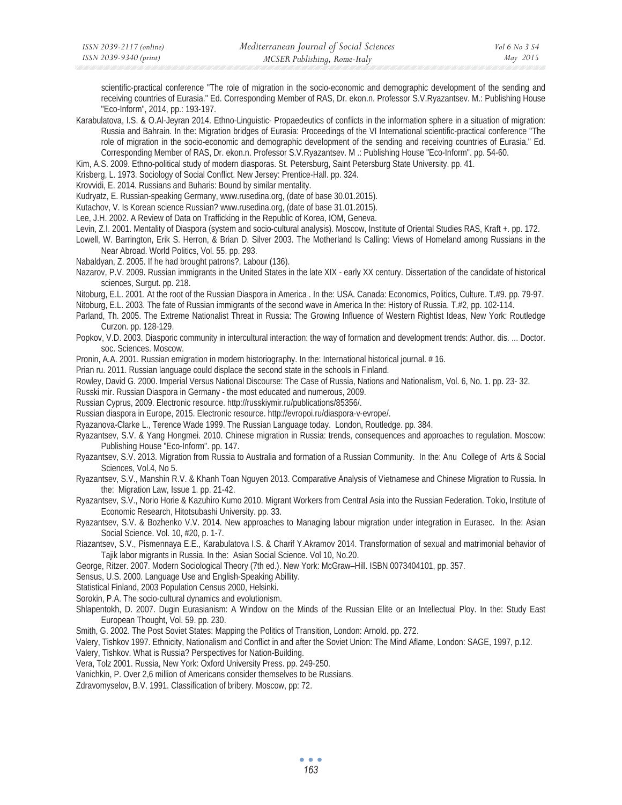scientific-practical conference "The role of migration in the socio-economic and demographic development of the sending and receiving countries of Eurasia." Ed. Corresponding Member of RAS, Dr. ekon.n. Professor S.V.Ryazantsev. M.: Publishing House "Eco-Inform", 2014, pp.: 193-197.

Karabulatova, I.S. & O.Al-Jeyran 2014. Ethno-Linguistic- Propaedeutics of conflicts in the information sphere in a situation of migration: Russia and Bahrain. In the: Migration bridges of Eurasia: Proceedings of the VI International scientific-practical conference "The role of migration in the socio-economic and demographic development of the sending and receiving countries of Eurasia." Ed. Corresponding Member of RAS, Dr. ekon.n. Professor S.V.Ryazantsev. M .: Publishing House "Eco-Inform". pp. 54-60.

Kim, A.S. 2009. Ethno-political study of modern diasporas. St. Petersburg, Saint Petersburg State University. pp. 41.

Krisberg, L. 1973. Sociology of Social Conflict. New Jersey: Prentice-Hall. pp. 324.

Krovvidi, E. 2014. Russians and Buharis: Bound by similar mentality.

Kudryatz, E. Russian-speaking Germany, www.rusedina.org, (date of base 30.01.2015).

Kutachov, V. Is Korean science Russian? www.rusedina.org, (date of base 31.01.2015).

Lee, J.H. 2002. A Review of Data on Trafficking in the Republic of Korea, IOM, Geneva.

Levin, Z.I. 2001. Mentality of Diaspora (system and socio-cultural analysis). Moscow, Institute of Oriental Studies RAS, Kraft +. pp. 172.

Lowell, W. Barrington, Erik S. Herron, & Brian D. Silver 2003. The Motherland Is Calling: Views of Homeland among Russians in the Near Abroad. World Politics, Vol. 55. pp. 293.

Nabaldyan, Z. 2005. If he had brought patrons?, Labour (136).

Nazarov, P.V. 2009. Russian immigrants in the United States in the late XIX - early XX century. Dissertation of the candidate of historical sciences, Surgut. pp. 218.

Nitoburg, E.L. 2001. At the root of the Russian Diaspora in America . In the: USA. Canada: Economics, Politics, Culture. T.#9. pp. 79-97.

Nitoburg, E.L. 2003. The fate of Russian immigrants of the second wave in America In the: History of Russia. T.#2, pp. 102-114.

Parland, Th. 2005. The Extreme Nationalist Threat in Russia: The Growing Influence of Western Rightist Ideas, New York: Routledge Curzon. pp. 128-129.

Popkov, V.D. 2003. Diasporic community in intercultural interaction: the way of formation and development trends: Author. dis. ... Doctor. soc. Sciences. Moscow.

Pronin, A.A. 2001. Russian emigration in modern historiography. In the: International historical journal. # 16.

Prian ru. 2011. Russian language could displace the second state in the schools in Finland.

Rowley, David G. 2000. Imperial Versus National Discourse: The Case of Russia, Nations and Nationalism, Vol. 6, No. 1. pp. 23- 32.

Russki mir. Russian Diaspora in Germany - the most educated and numerous, 2009.

Russian Cyprus, 2009. Electronic resource. http://russkiymir.ru/publications/85356/.

Russian diaspora in Europe, 2015. Electronic resource. http://evropoi.ru/diaspora-v-evrope/.

Ryazanova-Clarke L., Terence Wade 1999. The Russian Language today. London, Routledge. pp. 384.

Ryazantsev, S.V. & Yang Hongmei. 2010. Chinese migration in Russia: trends, consequences and approaches to regulation. Moscow: Publishing House "Eco-Inform". pp. 147.

Ryazantsev, S.V. 2013. Migration from Russia to Australia and formation of a Russian Community. In the: Anu College of Arts & Social Sciences, Vol.4, No 5.

Ryazantsev, S.V., Manshin R.V. & Khanh Toan Nguyen 2013. Comparative Analysis of Vietnamese and Chinese Migration to Russia. In the: Migration Law, Issue 1. pp. 21-42.

Ryazantsev, S.V., Norio Horie & Kazuhiro Kumo 2010. Migrant Workers from Central Asia into the Russian Federation. Tokio, Institute of Economic Research, Hitotsubashi University. pp. 33.

Ryazantsev, S.V. & Bozhenko V.V. 2014. New approaches to Managing labour migration under integration in Eurasec. In the: Asian Social Science. Vol. 10, #20, p. 1-7.

Riazantsev, S.V., Pismennaya E.E., Karabulatova I.S. & Charif Y.Akramov 2014. Transformation of sexual and matrimonial behavior of Tajik labor migrants in Russia. In the: Asian Social Science. Vol 10, No.20.

George, Ritzer. 2007. Modern Sociological Theory (7th ed.). New York: McGraw–Hill. ISBN 0073404101, pp. 357.

Sensus, U.S. 2000. Language Use and English-Speaking Abillity.

Statistical Finland, 2003 Population Census 2000, Helsinki.

Sorokin, P.A. The socio-cultural dynamics and evolutionism.

- Shlapentokh, D. 2007. Dugin Eurasianism: A Window on the Minds of the Russian Elite or an Intellectual Ploy. In the: Study East European Thought, Vol. 59. pp. 230.
- Smith, G. 2002. The Post Soviet States: Mapping the Politics of Transition, London: Arnold. pp. 272.

Valery, Tishkov 1997. Ethnicity, Nationalism and Conflict in and after the Soviet Union: The Mind Aflame, London: SAGE, 1997, p.12.

Valery, Tishkov. What is Russia? Perspectives for Nation-Building.

Vera, Tolz 2001. Russia, New York: Oxford University Press. pp. 249-250.

Vanichkin, P. Over 2,6 million of Americans consider themselves to be Russians.

Zdravomyselov, B.V. 1991. Classification of bribery. Moscow, pp: 72.